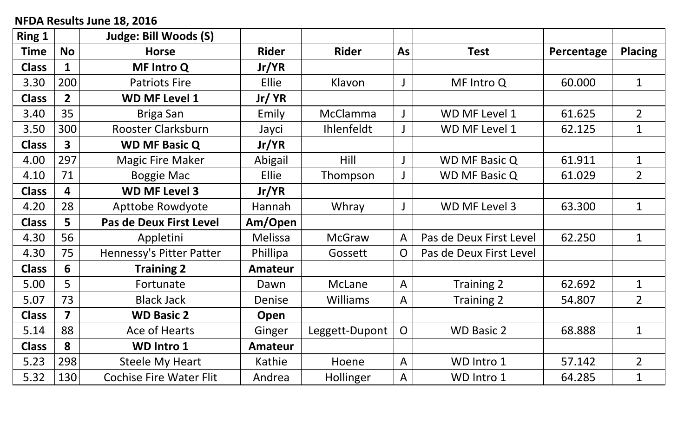## **NFDA Results June 18, 2016**

| Ring 1       |                         | Judge: Bill Woods (S)          |                |                   |                |                         |            |                |
|--------------|-------------------------|--------------------------------|----------------|-------------------|----------------|-------------------------|------------|----------------|
| <b>Time</b>  | <b>No</b>               | <b>Horse</b>                   | <b>Rider</b>   | <b>Rider</b>      | As             | <b>Test</b>             | Percentage | <b>Placing</b> |
| <b>Class</b> | $\mathbf{1}$            | <b>MF Intro Q</b>              | Jr/YR          |                   |                |                         |            |                |
| 3.30         | 200                     | <b>Patriots Fire</b>           | Ellie          | Klavon            |                | MF Intro Q              | 60.000     | $\mathbf 1$    |
| <b>Class</b> | $\overline{2}$          | <b>WD MF Level 1</b>           | Jr/ YR         |                   |                |                         |            |                |
| 3.40         | 35                      | Briga San                      | Emily          | <b>McClamma</b>   |                | WD MF Level 1           | 61.625     | $\overline{2}$ |
| 3.50         | 300                     | Rooster Clarksburn             | Jayci          | <b>Ihlenfeldt</b> |                | WD MF Level 1           | 62.125     | $\mathbf 1$    |
| <b>Class</b> | $\overline{\mathbf{3}}$ | <b>WD MF Basic Q</b>           | Jr/YR          |                   |                |                         |            |                |
| 4.00         | 297                     | <b>Magic Fire Maker</b>        | Abigail        | Hill              |                | <b>WD MF Basic Q</b>    | 61.911     | $\mathbf{1}$   |
| 4.10         | 71                      | <b>Boggie Mac</b>              | <b>Ellie</b>   | Thompson          |                | <b>WD MF Basic Q</b>    | 61.029     | $\overline{2}$ |
| <b>Class</b> | 4                       | <b>WD MF Level 3</b>           | Jr/YR          |                   |                |                         |            |                |
| 4.20         | 28                      | <b>Apttobe Rowdyote</b>        | Hannah         | Whray             |                | WD MF Level 3           | 63.300     | $\mathbf{1}$   |
| <b>Class</b> | 5                       | Pas de Deux First Level        | Am/Open        |                   |                |                         |            |                |
| 4.30         | 56                      | Appletini                      | Melissa        | <b>McGraw</b>     | $\overline{A}$ | Pas de Deux First Level | 62.250     | $\mathbf{1}$   |
| 4.30         | 75                      | Hennessy's Pitter Patter       | Phillipa       | Gossett           | $\overline{O}$ | Pas de Deux First Level |            |                |
| <b>Class</b> | 6                       | <b>Training 2</b>              | <b>Amateur</b> |                   |                |                         |            |                |
| 5.00         | 5                       | Fortunate                      | Dawn           | McLane            | $\overline{A}$ | Training 2              | 62.692     | $\mathbf 1$    |
| 5.07         | 73                      | <b>Black Jack</b>              | Denise         | <b>Williams</b>   | $\overline{A}$ | Training 2              | 54.807     | $\overline{2}$ |
| <b>Class</b> | $\overline{\mathbf{z}}$ | <b>WD Basic 2</b>              | Open           |                   |                |                         |            |                |
| 5.14         | 88                      | Ace of Hearts                  | Ginger         | Leggett-Dupont    | $\overline{O}$ | <b>WD Basic 2</b>       | 68.888     | $\mathbf{1}$   |
| <b>Class</b> | 8                       | <b>WD Intro 1</b>              | <b>Amateur</b> |                   |                |                         |            |                |
| 5.23         | 298                     | <b>Steele My Heart</b>         | Kathie         | Hoene             | $\overline{A}$ | WD Intro 1              | 57.142     | $\overline{2}$ |
| 5.32         | 130                     | <b>Cochise Fire Water Flit</b> | Andrea         | Hollinger         | $\mathsf{A}$   | WD Intro 1              | 64.285     | $\mathbf{1}$   |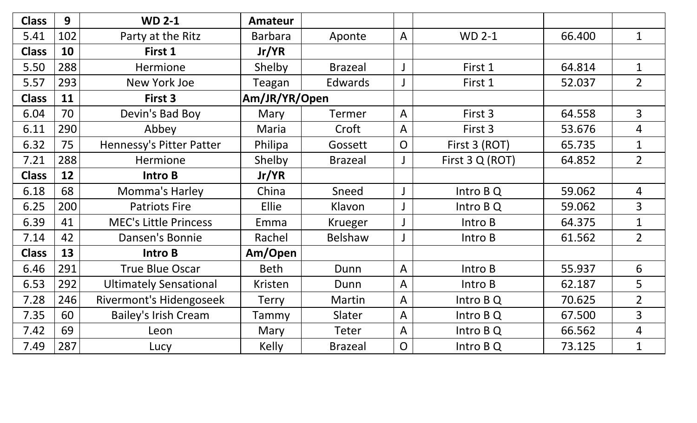| <b>Class</b> | 9   | <b>WD 2-1</b>                  | <b>Amateur</b> |                |                |                 |        |                |
|--------------|-----|--------------------------------|----------------|----------------|----------------|-----------------|--------|----------------|
| 5.41         | 102 | Party at the Ritz              | <b>Barbara</b> | Aponte         | $\overline{A}$ | <b>WD 2-1</b>   | 66.400 | $\mathbf{1}$   |
| <b>Class</b> | 10  | First 1                        | Jr/YR          |                |                |                 |        |                |
| 5.50         | 288 | Hermione                       | Shelby         | <b>Brazeal</b> |                | First 1         | 64.814 | $\mathbf{1}$   |
| 5.57         | 293 | New York Joe                   | Teagan         | Edwards        |                | First 1         | 52.037 | $\overline{2}$ |
| <b>Class</b> | 11  | First 3                        | Am/JR/YR/Open  |                |                |                 |        |                |
| 6.04         | 70  | Devin's Bad Boy                | Mary           | <b>Termer</b>  | $\overline{A}$ | First 3         | 64.558 | $\overline{3}$ |
| 6.11         | 290 | Abbey                          | Maria          | Croft          | $\mathsf{A}$   | First 3         | 53.676 | $\overline{4}$ |
| 6.32         | 75  | Hennessy's Pitter Patter       | Philipa        | Gossett        | $\overline{O}$ | First 3 (ROT)   | 65.735 | $\mathbf 1$    |
| 7.21         | 288 | Hermione                       | Shelby         | <b>Brazeal</b> |                | First 3 Q (ROT) | 64.852 | $\overline{2}$ |
| <b>Class</b> | 12  | Intro B                        | Jr/YR          |                |                |                 |        |                |
| 6.18         | 68  | Momma's Harley                 | China          | Sneed          |                | Intro B Q       | 59.062 | $\overline{4}$ |
| 6.25         | 200 | <b>Patriots Fire</b>           | Ellie          | Klavon         |                | Intro B Q       | 59.062 | $\overline{3}$ |
| 6.39         | 41  | <b>MEC's Little Princess</b>   | Emma           | <b>Krueger</b> |                | Intro B         | 64.375 | $\mathbf{1}$   |
| 7.14         | 42  | Dansen's Bonnie                | Rachel         | Belshaw        |                | Intro B         | 61.562 | $\overline{2}$ |
| <b>Class</b> | 13  | Intro B                        | Am/Open        |                |                |                 |        |                |
| 6.46         | 291 | <b>True Blue Oscar</b>         | <b>Beth</b>    | Dunn           | $\overline{A}$ | Intro B         | 55.937 | 6              |
| 6.53         | 292 | <b>Ultimately Sensational</b>  | Kristen        | Dunn           | $\overline{A}$ | Intro B         | 62.187 | 5              |
| 7.28         | 246 | <b>Rivermont's Hidengoseek</b> | <b>Terry</b>   | Martin         | $\overline{A}$ | Intro B Q       | 70.625 | $\overline{2}$ |
| 7.35         | 60  | <b>Bailey's Irish Cream</b>    | Tammy          | Slater         | $\mathsf{A}$   | Intro B Q       | 67.500 | $\overline{3}$ |
| 7.42         | 69  | Leon                           | Mary           | <b>Teter</b>   | $\overline{A}$ | Intro B Q       | 66.562 | 4              |
| 7.49         | 287 | Lucy                           | <b>Kelly</b>   | <b>Brazeal</b> | $\overline{O}$ | Intro B Q       | 73.125 | $\mathbf{1}$   |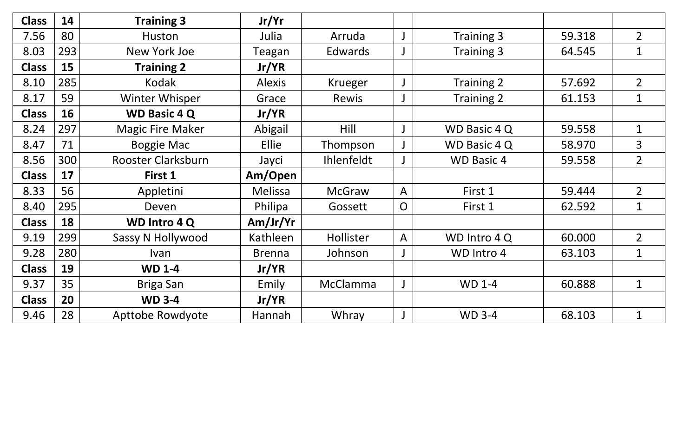| <b>Class</b> | 14  | <b>Training 3</b>         | Jr/Yr          |                 |                |                     |        |                |
|--------------|-----|---------------------------|----------------|-----------------|----------------|---------------------|--------|----------------|
| 7.56         | 80  | Huston                    | Julia          | Arruda          |                | Training 3          | 59.318 | $\overline{2}$ |
| 8.03         | 293 | New York Joe              | Teagan         | <b>Edwards</b>  |                | Training 3          | 64.545 | $\mathbf{1}$   |
| <b>Class</b> | 15  | <b>Training 2</b>         | Jr/YR          |                 |                |                     |        |                |
| 8.10         | 285 | Kodak                     | <b>Alexis</b>  | Krueger         |                | Training 2          | 57.692 | $\overline{2}$ |
| 8.17         | 59  | Winter Whisper            | Grace          | Rewis           |                | Training 2          | 61.153 | $\mathbf{1}$   |
| <b>Class</b> | 16  | <b>WD Basic 4 Q</b>       | Jr/YR          |                 |                |                     |        |                |
| 8.24         | 297 | <b>Magic Fire Maker</b>   | Abigail        | Hill            |                | WD Basic 4 Q        | 59.558 | $\mathbf{1}$   |
| 8.47         | 71  | <b>Boggie Mac</b>         | Ellie          | Thompson        |                | <b>WD Basic 4 Q</b> | 58.970 | $\overline{3}$ |
| 8.56         | 300 | <b>Rooster Clarksburn</b> | Jayci          | Ihlenfeldt      |                | <b>WD Basic 4</b>   | 59.558 | $\overline{2}$ |
| <b>Class</b> | 17  | First 1                   | Am/Open        |                 |                |                     |        |                |
| 8.33         | 56  | Appletini                 | <b>Melissa</b> | <b>McGraw</b>   | $\overline{A}$ | First 1             | 59.444 | $\overline{2}$ |
| 8.40         | 295 | Deven                     | Philipa        | Gossett         | O              | First 1             | 62.592 | $\mathbf{1}$   |
| <b>Class</b> | 18  | <b>WD Intro 4 Q</b>       | Am/Jr/Yr       |                 |                |                     |        |                |
| 9.19         | 299 | Sassy N Hollywood         | Kathleen       | Hollister       | $\overline{A}$ | WD Intro 4 Q        | 60.000 | $\overline{2}$ |
| 9.28         | 280 | Ivan                      | <b>Brenna</b>  | Johnson         |                | WD Intro 4          | 63.103 | $\mathbf{1}$   |
| <b>Class</b> | 19  | <b>WD 1-4</b>             | Jr/YR          |                 |                |                     |        |                |
| 9.37         | 35  | Briga San                 | Emily          | <b>McClamma</b> |                | <b>WD 1-4</b>       | 60.888 | $\mathbf{1}$   |
| <b>Class</b> | 20  | <b>WD 3-4</b>             | Jr/YR          |                 |                |                     |        |                |
|              |     |                           |                |                 |                |                     |        |                |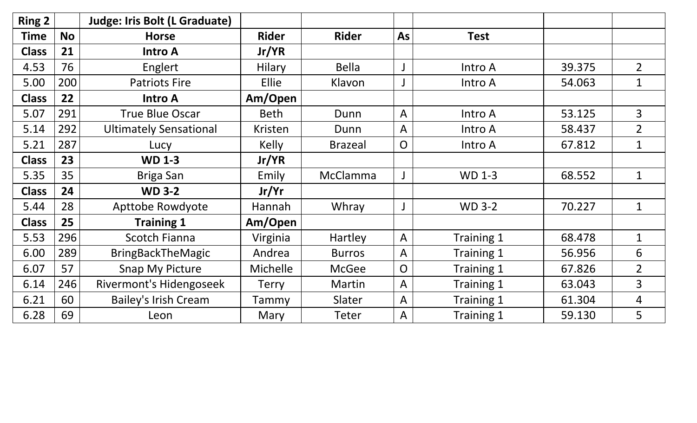| <b>Ring 2</b> |           | <b>Judge: Iris Bolt (L Graduate)</b> |               |                 |                |               |        |                |
|---------------|-----------|--------------------------------------|---------------|-----------------|----------------|---------------|--------|----------------|
| <b>Time</b>   | <b>No</b> | <b>Horse</b>                         | <b>Rider</b>  | <b>Rider</b>    | As             | <b>Test</b>   |        |                |
| <b>Class</b>  | 21        | <b>Intro A</b>                       | Jr/YR         |                 |                |               |        |                |
| 4.53          | 76        | Englert                              | <b>Hilary</b> | <b>Bella</b>    |                | Intro A       | 39.375 | $\overline{2}$ |
| 5.00          | 200       | <b>Patriots Fire</b>                 | <b>Ellie</b>  | Klavon          |                | Intro A       | 54.063 | $\mathbf{1}$   |
| <b>Class</b>  | 22        | <b>Intro A</b>                       | Am/Open       |                 |                |               |        |                |
| 5.07          | 291       | <b>True Blue Oscar</b>               | <b>Beth</b>   | Dunn            | $\overline{A}$ | Intro A       | 53.125 | $\overline{3}$ |
| 5.14          | 292       | <b>Ultimately Sensational</b>        | Kristen       | Dunn            | $\mathsf{A}$   | Intro A       | 58.437 | $\overline{2}$ |
| 5.21          | 287       | Lucy                                 | <b>Kelly</b>  | <b>Brazeal</b>  | $\overline{O}$ | Intro A       | 67.812 | $\mathbf{1}$   |
| <b>Class</b>  | 23        | <b>WD 1-3</b>                        | Jr/YR         |                 |                |               |        |                |
| 5.35          | 35        | Briga San                            | Emily         | <b>McClamma</b> |                | <b>WD 1-3</b> | 68.552 | $\mathbf{1}$   |
| <b>Class</b>  | 24        | <b>WD 3-2</b>                        | Jr/Yr         |                 |                |               |        |                |
| 5.44          | 28        | Apttobe Rowdyote                     | Hannah        | Whray           |                | <b>WD 3-2</b> | 70.227 | $\mathbf{1}$   |
| <b>Class</b>  | 25        | <b>Training 1</b>                    | Am/Open       |                 |                |               |        |                |
| 5.53          | 296       | <b>Scotch Fianna</b>                 | Virginia      | Hartley         | $\mathsf{A}$   | Training 1    | 68.478 | $\mathbf{1}$   |
| 6.00          | 289       | <b>BringBackTheMagic</b>             | Andrea        | <b>Burros</b>   | $\overline{A}$ | Training 1    | 56.956 | 6              |
| 6.07          | 57        | <b>Snap My Picture</b>               | Michelle      | <b>McGee</b>    | $\overline{O}$ | Training 1    | 67.826 | $\overline{2}$ |
| 6.14          | 246       | <b>Rivermont's Hidengoseek</b>       | <b>Terry</b>  | Martin          | $\mathsf{A}$   | Training 1    | 63.043 | 3              |
| 6.21          | 60        | <b>Bailey's Irish Cream</b>          | Tammy         | Slater          | $\mathsf{A}$   | Training 1    | 61.304 | $\overline{4}$ |
| 6.28          | 69        | Leon                                 | Mary          | Teter           | $\mathsf{A}$   | Training 1    | 59.130 | 5              |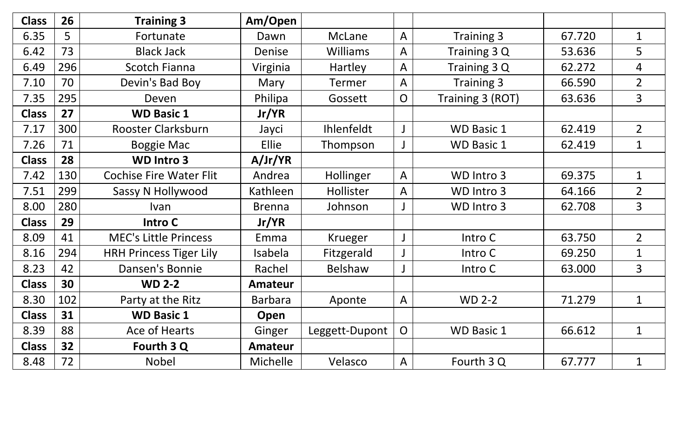| <b>Class</b> | 26  | <b>Training 3</b>              | Am/Open        |                   |                |                   |        |                |
|--------------|-----|--------------------------------|----------------|-------------------|----------------|-------------------|--------|----------------|
| 6.35         | 5   | Fortunate                      | Dawn           | McLane            | $\overline{A}$ | <b>Training 3</b> | 67.720 | $\mathbf{1}$   |
| 6.42         | 73  | <b>Black Jack</b>              | Denise         | <b>Williams</b>   | $\mathsf{A}$   | Training 3 Q      | 53.636 | 5              |
| 6.49         | 296 | <b>Scotch Fianna</b>           | Virginia       | Hartley           | $\mathsf{A}$   | Training 3 Q      | 62.272 | 4              |
| 7.10         | 70  | Devin's Bad Boy                | Mary           | <b>Termer</b>     | $\overline{A}$ | Training 3        | 66.590 | $\overline{2}$ |
| 7.35         | 295 | Deven                          | Philipa        | Gossett           | $\overline{O}$ | Training 3 (ROT)  | 63.636 | $\overline{3}$ |
| <b>Class</b> | 27  | <b>WD Basic 1</b>              | Jr/YR          |                   |                |                   |        |                |
| 7.17         | 300 | Rooster Clarksburn             | Jayci          | <b>Ihlenfeldt</b> |                | <b>WD Basic 1</b> | 62.419 | $2^{\circ}$    |
| 7.26         | 71  | <b>Boggie Mac</b>              | Ellie          | Thompson          |                | <b>WD Basic 1</b> | 62.419 | $\mathbf{1}$   |
| <b>Class</b> | 28  | <b>WD Intro 3</b>              | A/Jr/YR        |                   |                |                   |        |                |
| 7.42         | 130 | <b>Cochise Fire Water Flit</b> | Andrea         | Hollinger         | $\mathsf{A}$   | WD Intro 3        | 69.375 | $\mathbf{1}$   |
| 7.51         | 299 | Sassy N Hollywood              | Kathleen       | Hollister         | $\overline{A}$ | WD Intro 3        | 64.166 | $\overline{2}$ |
| 8.00         | 280 | Ivan                           | <b>Brenna</b>  | Johnson           |                | WD Intro 3        | 62.708 | 3              |
| <b>Class</b> | 29  | Intro C                        | Jr/YR          |                   |                |                   |        |                |
| 8.09         | 41  | <b>MEC's Little Princess</b>   | Emma           | <b>Krueger</b>    |                | Intro C           | 63.750 | $\overline{2}$ |
| 8.16         | 294 | <b>HRH Princess Tiger Lily</b> | Isabela        | Fitzgerald        |                | Intro C           | 69.250 | $\mathbf{1}$   |
| 8.23         | 42  | Dansen's Bonnie                | Rachel         | Belshaw           |                | Intro C           | 63.000 | $\overline{3}$ |
| <b>Class</b> | 30  | <b>WD 2-2</b>                  | <b>Amateur</b> |                   |                |                   |        |                |
| 8.30         | 102 | Party at the Ritz              | <b>Barbara</b> | Aponte            | $\mathsf{A}$   | <b>WD 2-2</b>     | 71.279 | $\mathbf{1}$   |
| <b>Class</b> | 31  | <b>WD Basic 1</b>              | Open           |                   |                |                   |        |                |
| 8.39         | 88  | Ace of Hearts                  | Ginger         | Leggett-Dupont    | $\mathsf{O}$   | <b>WD Basic 1</b> | 66.612 | $\mathbf{1}$   |
| <b>Class</b> | 32  | Fourth 3 Q                     | <b>Amateur</b> |                   |                |                   |        |                |
| 8.48         | 72  | <b>Nobel</b>                   | Michelle       | Velasco           | $\overline{A}$ | Fourth 3 Q        | 67.777 | $\mathbf{1}$   |